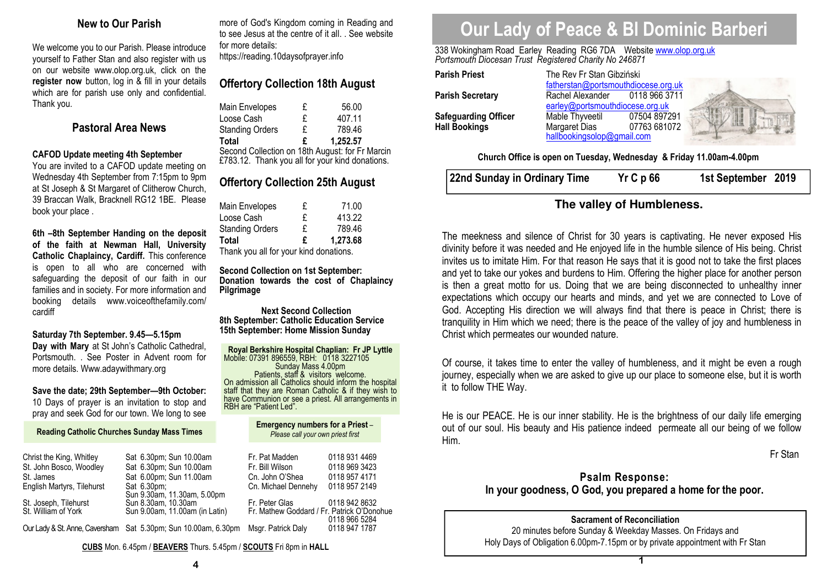# **New to Our Parish**

We welcome you to our Parish. Please introduce yourself to Father Stan and also register with us on our website www.olop.org.uk, click on the **register now** button, log in & fill in your details which are for parish use only and confidential. Thank you.

## **Pastoral Area News**

#### **CAFOD Update meeting 4th September**

 You are invited to a CAFOD update meeting on Wednesday 4th September from 7:15pm to 9pm at St Joseph & St Margaret of Clitherow Church, 39 Braccan Walk, Bracknell RG12 1BE. Please book your place .

**6th –8th September Handing on the deposit of the faith at Newman Hall, University Catholic Chaplaincy, Cardiff.** This conference is open to all who are concerned with safeguarding the deposit of our faith in our families and in society. For more information and booking details www.voiceofthefamily.com/cardiff

#### **Saturday 7th September. 9.45—5.15pm**

 **Day with Mary** at St John's Catholic Cathedral, Portsmouth. . See Poster in Advent room for more details. Www.adaywithmary.org

#### **Save the date; 29th September—9th October:**

 10 Days of prayer is an invitation to stop and pray and seek God for our town. We long to see

**Reading Catholic Churches Sunday Mass Times**

| Christ the King, Whitley   | Sat 6.30pm; Sun 10.00am                                                           | Fr. Pat Madden                             | 0118 931 4469 |
|----------------------------|-----------------------------------------------------------------------------------|--------------------------------------------|---------------|
| St. John Bosco, Woodley    | Sat 6.30pm; Sun 10.00am                                                           | Fr. Bill Wilson                            | 0118 969 3423 |
| St. James                  | Sat 6.00pm; Sun 11.00am                                                           | Cn. John O'Shea                            | 0118 957 4171 |
| English Martyrs, Tilehurst | Sat 6.30pm;                                                                       | Cn. Michael Dennehy                        | 0118 957 2149 |
|                            | Sun 9.30am, 11.30am, 5.00pm                                                       |                                            |               |
| St. Joseph, Tilehurst      | Sun 8.30am, 10.30am                                                               | Fr. Peter Glas                             | 0118 942 8632 |
| St. William of York        | Sun 9.00am, 11.00am (in Latin)                                                    | Fr. Mathew Goddard / Fr. Patrick O'Donohue |               |
|                            |                                                                                   |                                            | 0118 966 5284 |
|                            | Our Lady & St. Anne. Caversham Sat 5.30pm: Sun 10.00am. 6.30pm Msgr. Patrick Daly |                                            | 0118 947 1787 |

**CUBS** Mon. 6.45pm / **BEAVERS** Thurs. 5.45pm / **SCOUTS** Fri 8pm in **HALL** 

more of God's Kingdom coming in Reading and to see Jesus at the centre of it all. . See websitefor more details:

https://reading.10daysofprayer.info

# **Offertory Collection 18th August**

| Main Envelopes                                  | £ | 56.00    |  |  |
|-------------------------------------------------|---|----------|--|--|
| Loose Cash                                      | £ | 407.11   |  |  |
| <b>Standing Orders</b>                          | £ | 789.46   |  |  |
| Total                                           | £ | 1,252.57 |  |  |
| Second Collection on 18th August: for Fr Marcin |   |          |  |  |
| £783.12. Thank you all for your kind donations. |   |          |  |  |

# **Offertory Collection 25th August**

| Main Envelopes         | £ | 71.00    |
|------------------------|---|----------|
| Loose Cash             | £ | 413.22   |
| <b>Standing Orders</b> | £ | 789.46   |
| Total                  | £ | 1,273.68 |
|                        |   |          |

Thank you all for your kind donations.

**Second Collection on 1st September: Donation towards the cost of Chaplaincy Pilgrimage** 

**Next Second Collection 8th September: Catholic Education Service 15th September: Home Mission Sunday** 

**Royal Berkshire Hospital Chaplian: Fr JP Lyttle** Mobile: 07391 896559, RBH: 0118 3227105 Patients, staff & visitors welcome. On admission all Catholics should inform the hospital staff that they are Roman Catholic & if they wish to have Communion or see a priest. All arrangements in RBH are "Patient Led".

#### **Emergency numbers for a Priest** *–Please call your own priest first*

# **Our Lady of Peace & Bl Dominic Barberi**

338 Wokingham Road Earley Reading RG6 7DA Website <u>www.olop.org.uk</u><br>*Portsmouth Diocesan Trust Registered Charity No 246871* 

| <b>Parish Priest</b>        | The Rev Fr Stan Gibziński           |               |  |
|-----------------------------|-------------------------------------|---------------|--|
|                             | fatherstan@portsmouthdiocese.org.uk |               |  |
| <b>Parish Secretary</b>     | Rachel Alexander                    | 0118 966 3711 |  |
|                             | earley@portsmouthdiocese.org.uk     |               |  |
| <b>Safeguarding Officer</b> | Mable Thyveetil                     | 07504 897291  |  |
| <b>Hall Bookings</b>        | Margaret Dias                       | 07763 681072  |  |
|                             | hallbookingsolop@gmail.com          |               |  |

## **Church Office is open on Tuesday, Wednesday & Friday 11.00am-4.00pm**

**22nd Sunday in Ordinary Time Yr C p 66 1st September 2019** 

# **The valley of Humbleness.**

The meekness and silence of Christ for 30 years is captivating. He never exposed His divinity before it was needed and He enjoyed life in the humble silence of His being. Christ invites us to imitate Him. For that reason He says that it is good not to take the first places and yet to take our yokes and burdens to Him. Offering the higher place for another person is then a great motto for us. Doing that we are being disconnected to unhealthy inner expectations which occupy our hearts and minds, and yet we are connected to Love of God. Accepting His direction we will always find that there is peace in Christ; there is tranquility in Him which we need; there is the peace of the valley of joy and humbleness in Christ which permeates our wounded nature.

Of course, it takes time to enter the valley of humbleness, and it might be even a rough journey, especially when we are asked to give up our place to someone else, but it is worth it to follow THE Way.

He is our PEACE. He is our inner stability. He is the brightness of our daily life emerging out of our soul. His beauty and His patience indeed permeate all our being of we follow Him.

Fr Stan

# **Psalm Response: In your goodness, O God, you prepared a home for the poor.**

## **Sacrament of Reconciliation**

 20 minutes before Sunday & Weekday Masses. On Fridays and Holy Days of Obligation 6.00pm-7.15pm or by private appointment with Fr Stan